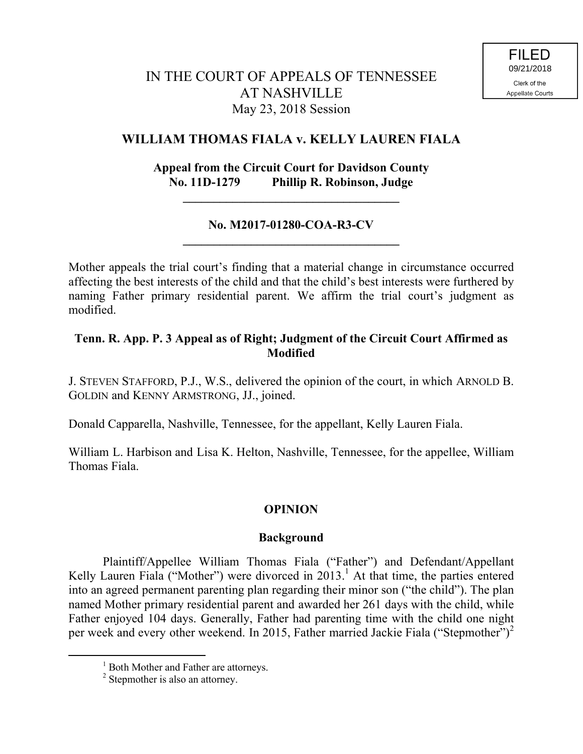# IN THE COURT OF APPEALS OF TENNESSEE AT NASHVILLE May 23, 2018 Session

### **WILLIAM THOMAS FIALA v. KELLY LAUREN FIALA**

### **Appeal from the Circuit Court for Davidson County No. 11D-1279 Phillip R. Robinson, Judge**

#### **No. M2017-01280-COA-R3-CV \_\_\_\_\_\_\_\_\_\_\_\_\_\_\_\_\_\_\_\_\_\_\_\_\_\_\_\_\_\_\_\_\_\_\_**

**\_\_\_\_\_\_\_\_\_\_\_\_\_\_\_\_\_\_\_\_\_\_\_\_\_\_\_\_\_\_\_\_\_\_\_**

Mother appeals the trial court's finding that a material change in circumstance occurred affecting the best interests of the child and that the child's best interests were furthered by naming Father primary residential parent. We affirm the trial court's judgment as modified.

#### **Tenn. R. App. P. 3 Appeal as of Right; Judgment of the Circuit Court Affirmed as Modified**

J. STEVEN STAFFORD, P.J., W.S., delivered the opinion of the court, in which ARNOLD B. GOLDIN and KENNY ARMSTRONG, JJ., joined.

Donald Capparella, Nashville, Tennessee, for the appellant, Kelly Lauren Fiala.

William L. Harbison and Lisa K. Helton, Nashville, Tennessee, for the appellee, William Thomas Fiala.

### **OPINION**

#### **Background**

Plaintiff/Appellee William Thomas Fiala ("Father") and Defendant/Appellant Kelly Lauren Fiala ("Mother") were divorced in  $2013$ .<sup>1</sup> At that time, the parties entered into an agreed permanent parenting plan regarding their minor son ("the child"). The plan named Mother primary residential parent and awarded her 261 days with the child, while Father enjoyed 104 days. Generally, Father had parenting time with the child one night per week and every other weekend. In 2015, Father married Jackie Fiala ("Stepmother")<sup>2</sup>

 $\overline{a}$ 

<sup>&</sup>lt;sup>1</sup> Both Mother and Father are attorneys.

<sup>&</sup>lt;sup>2</sup> Stepmother is also an attorney.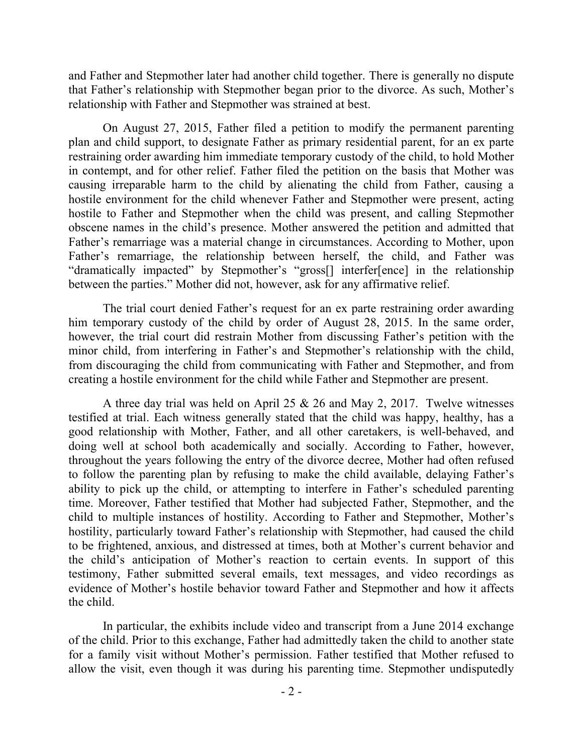and Father and Stepmother later had another child together. There is generally no dispute that Father's relationship with Stepmother began prior to the divorce. As such, Mother's relationship with Father and Stepmother was strained at best.

On August 27, 2015, Father filed a petition to modify the permanent parenting plan and child support, to designate Father as primary residential parent, for an ex parte restraining order awarding him immediate temporary custody of the child, to hold Mother in contempt, and for other relief. Father filed the petition on the basis that Mother was causing irreparable harm to the child by alienating the child from Father, causing a hostile environment for the child whenever Father and Stepmother were present, acting hostile to Father and Stepmother when the child was present, and calling Stepmother obscene names in the child's presence. Mother answered the petition and admitted that Father's remarriage was a material change in circumstances. According to Mother, upon Father's remarriage, the relationship between herself, the child, and Father was "dramatically impacted" by Stepmother's "gross[] interfer[ence] in the relationship between the parties." Mother did not, however, ask for any affirmative relief.

The trial court denied Father's request for an ex parte restraining order awarding him temporary custody of the child by order of August 28, 2015. In the same order, however, the trial court did restrain Mother from discussing Father's petition with the minor child, from interfering in Father's and Stepmother's relationship with the child, from discouraging the child from communicating with Father and Stepmother, and from creating a hostile environment for the child while Father and Stepmother are present.

A three day trial was held on April 25 & 26 and May 2, 2017. Twelve witnesses testified at trial. Each witness generally stated that the child was happy, healthy, has a good relationship with Mother, Father, and all other caretakers, is well-behaved, and doing well at school both academically and socially. According to Father, however, throughout the years following the entry of the divorce decree, Mother had often refused to follow the parenting plan by refusing to make the child available, delaying Father's ability to pick up the child, or attempting to interfere in Father's scheduled parenting time. Moreover, Father testified that Mother had subjected Father, Stepmother, and the child to multiple instances of hostility. According to Father and Stepmother, Mother's hostility, particularly toward Father's relationship with Stepmother, had caused the child to be frightened, anxious, and distressed at times, both at Mother's current behavior and the child's anticipation of Mother's reaction to certain events. In support of this testimony, Father submitted several emails, text messages, and video recordings as evidence of Mother's hostile behavior toward Father and Stepmother and how it affects the child.

In particular, the exhibits include video and transcript from a June 2014 exchange of the child. Prior to this exchange, Father had admittedly taken the child to another state for a family visit without Mother's permission. Father testified that Mother refused to allow the visit, even though it was during his parenting time. Stepmother undisputedly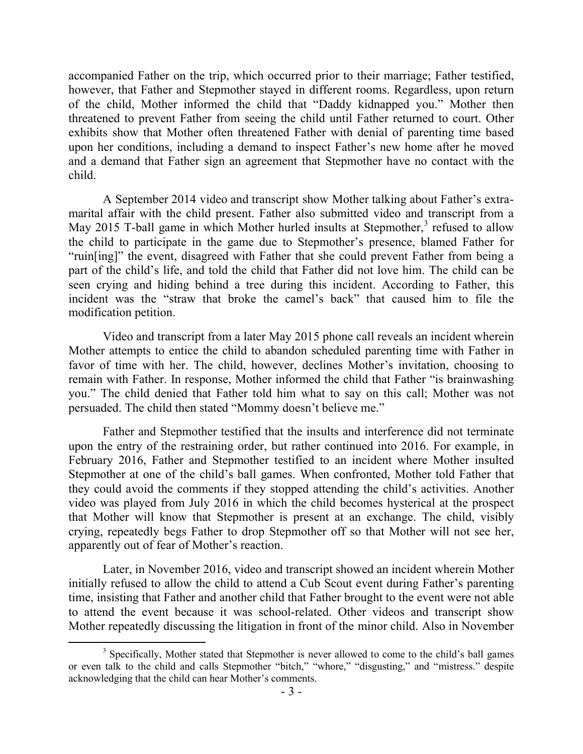accompanied Father on the trip, which occurred prior to their marriage; Father testified, however, that Father and Stepmother stayed in different rooms. Regardless, upon return of the child, Mother informed the child that "Daddy kidnapped you." Mother then threatened to prevent Father from seeing the child until Father returned to court. Other exhibits show that Mother often threatened Father with denial of parenting time based upon her conditions, including a demand to inspect Father's new home after he moved and a demand that Father sign an agreement that Stepmother have no contact with the child.

A September 2014 video and transcript show Mother talking about Father's extramarital affair with the child present. Father also submitted video and transcript from a May 2015 T-ball game in which Mother hurled insults at Stepmother,<sup>3</sup> refused to allow the child to participate in the game due to Stepmother's presence, blamed Father for "ruin[ing]" the event, disagreed with Father that she could prevent Father from being a part of the child's life, and told the child that Father did not love him. The child can be seen crying and hiding behind a tree during this incident. According to Father, this incident was the "straw that broke the camel's back" that caused him to file the modification petition.

Video and transcript from a later May 2015 phone call reveals an incident wherein Mother attempts to entice the child to abandon scheduled parenting time with Father in favor of time with her. The child, however, declines Mother's invitation, choosing to remain with Father. In response, Mother informed the child that Father "is brainwashing you." The child denied that Father told him what to say on this call; Mother was not persuaded. The child then stated "Mommy doesn't believe me."

Father and Stepmother testified that the insults and interference did not terminate upon the entry of the restraining order, but rather continued into 2016. For example, in February 2016, Father and Stepmother testified to an incident where Mother insulted Stepmother at one of the child's ball games. When confronted, Mother told Father that they could avoid the comments if they stopped attending the child's activities. Another video was played from July 2016 in which the child becomes hysterical at the prospect that Mother will know that Stepmother is present at an exchange. The child, visibly crying, repeatedly begs Father to drop Stepmother off so that Mother will not see her, apparently out of fear of Mother's reaction.

Later, in November 2016, video and transcript showed an incident wherein Mother initially refused to allow the child to attend a Cub Scout event during Father's parenting time, insisting that Father and another child that Father brought to the event were not able to attend the event because it was school-related. Other videos and transcript show Mother repeatedly discussing the litigation in front of the minor child. Also in November

<sup>&</sup>lt;sup>3</sup> Specifically, Mother stated that Stepmother is never allowed to come to the child's ball games or even talk to the child and calls Stepmother "bitch," "whore," "disgusting," and "mistress." despite acknowledging that the child can hear Mother's comments.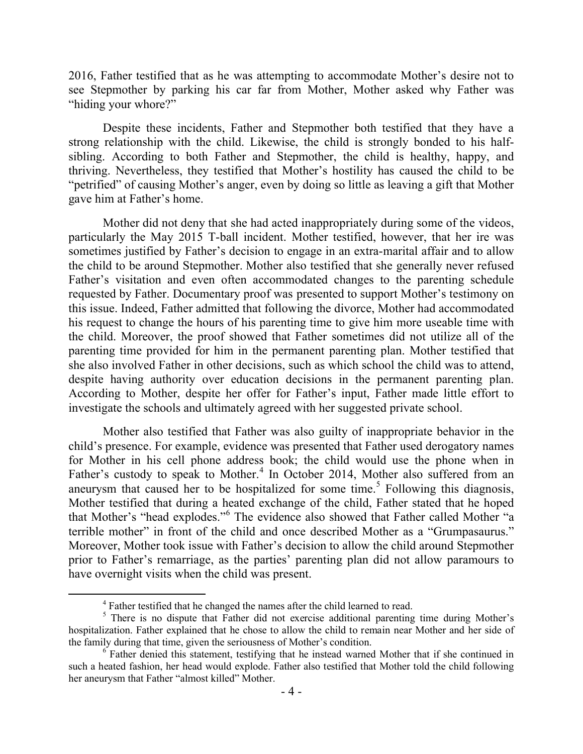2016, Father testified that as he was attempting to accommodate Mother's desire not to see Stepmother by parking his car far from Mother, Mother asked why Father was "hiding your whore?"

Despite these incidents, Father and Stepmother both testified that they have a strong relationship with the child. Likewise, the child is strongly bonded to his halfsibling. According to both Father and Stepmother, the child is healthy, happy, and thriving. Nevertheless, they testified that Mother's hostility has caused the child to be "petrified" of causing Mother's anger, even by doing so little as leaving a gift that Mother gave him at Father's home.

Mother did not deny that she had acted inappropriately during some of the videos, particularly the May 2015 T-ball incident. Mother testified, however, that her ire was sometimes justified by Father's decision to engage in an extra-marital affair and to allow the child to be around Stepmother. Mother also testified that she generally never refused Father's visitation and even often accommodated changes to the parenting schedule requested by Father. Documentary proof was presented to support Mother's testimony on this issue. Indeed, Father admitted that following the divorce, Mother had accommodated his request to change the hours of his parenting time to give him more useable time with the child. Moreover, the proof showed that Father sometimes did not utilize all of the parenting time provided for him in the permanent parenting plan. Mother testified that she also involved Father in other decisions, such as which school the child was to attend, despite having authority over education decisions in the permanent parenting plan. According to Mother, despite her offer for Father's input, Father made little effort to investigate the schools and ultimately agreed with her suggested private school.

Mother also testified that Father was also guilty of inappropriate behavior in the child's presence. For example, evidence was presented that Father used derogatory names for Mother in his cell phone address book; the child would use the phone when in Father's custody to speak to Mother.<sup>4</sup> In October 2014, Mother also suffered from an aneurysm that caused her to be hospitalized for some time.<sup>5</sup> Following this diagnosis, Mother testified that during a heated exchange of the child, Father stated that he hoped that Mother's "head explodes."<sup>6</sup> The evidence also showed that Father called Mother "a terrible mother" in front of the child and once described Mother as a "Grumpasaurus." Moreover, Mother took issue with Father's decision to allow the child around Stepmother prior to Father's remarriage, as the parties' parenting plan did not allow paramours to have overnight visits when the child was present.

<sup>&</sup>lt;sup>4</sup> Father testified that he changed the names after the child learned to read.

<sup>&</sup>lt;sup>5</sup> There is no dispute that Father did not exercise additional parenting time during Mother's hospitalization. Father explained that he chose to allow the child to remain near Mother and her side of the family during that time, given the seriousness of Mother's condition.

<sup>&</sup>lt;sup>6</sup> Father denied this statement, testifying that he instead warned Mother that if she continued in such a heated fashion, her head would explode. Father also testified that Mother told the child following her aneurysm that Father "almost killed" Mother.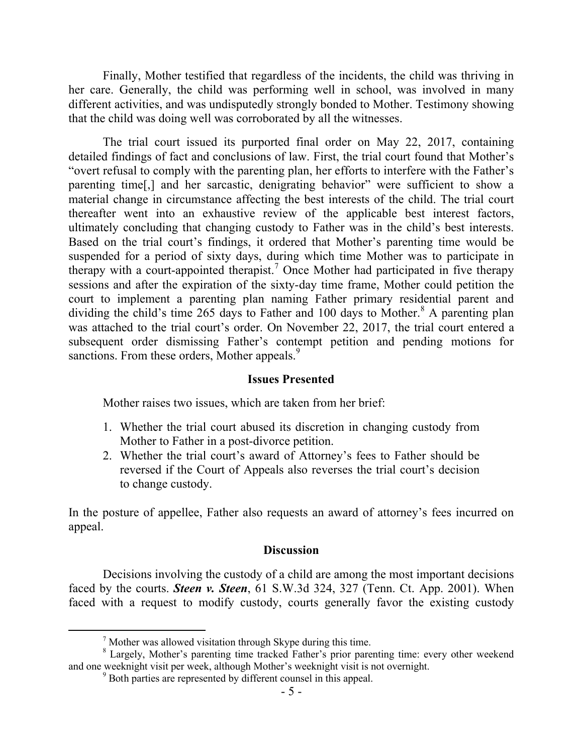Finally, Mother testified that regardless of the incidents, the child was thriving in her care. Generally, the child was performing well in school, was involved in many different activities, and was undisputedly strongly bonded to Mother. Testimony showing that the child was doing well was corroborated by all the witnesses.

The trial court issued its purported final order on May 22, 2017, containing detailed findings of fact and conclusions of law. First, the trial court found that Mother's "overt refusal to comply with the parenting plan, her efforts to interfere with the Father's parenting time[,] and her sarcastic, denigrating behavior" were sufficient to show a material change in circumstance affecting the best interests of the child. The trial court thereafter went into an exhaustive review of the applicable best interest factors, ultimately concluding that changing custody to Father was in the child's best interests. Based on the trial court's findings, it ordered that Mother's parenting time would be suspended for a period of sixty days, during which time Mother was to participate in therapy with a court-appointed therapist.<sup>7</sup> Once Mother had participated in five therapy sessions and after the expiration of the sixty-day time frame, Mother could petition the court to implement a parenting plan naming Father primary residential parent and dividing the child's time 265 days to Father and 100 days to Mother.<sup>8</sup> A parenting plan was attached to the trial court's order. On November 22, 2017, the trial court entered a subsequent order dismissing Father's contempt petition and pending motions for sanctions. From these orders, Mother appeals.<sup>9</sup>

#### **Issues Presented**

Mother raises two issues, which are taken from her brief:

- 1. Whether the trial court abused its discretion in changing custody from Mother to Father in a post-divorce petition.
- 2. Whether the trial court's award of Attorney's fees to Father should be reversed if the Court of Appeals also reverses the trial court's decision to change custody.

In the posture of appellee, Father also requests an award of attorney's fees incurred on appeal.

#### **Discussion**

Decisions involving the custody of a child are among the most important decisions faced by the courts. *Steen v. Steen*, 61 S.W.3d 324, 327 (Tenn. Ct. App. 2001). When faced with a request to modify custody, courts generally favor the existing custody

 $<sup>7</sup>$  Mother was allowed visitation through Skype during this time.</sup>

<sup>&</sup>lt;sup>8</sup> Largely, Mother's parenting time tracked Father's prior parenting time: every other weekend and one weeknight visit per week, although Mother's weeknight visit is not overnight.

<sup>9</sup> Both parties are represented by different counsel in this appeal.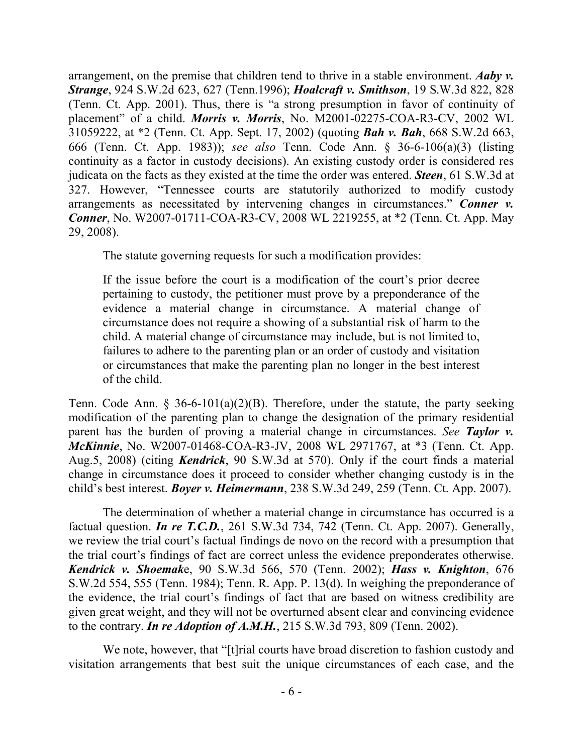arrangement, on the premise that children tend to thrive in a stable environment. *Aaby v. Strange*, 924 S.W.2d 623, 627 (Tenn.1996); *Hoalcraft v. Smithson*, 19 S.W.3d 822, 828 (Tenn. Ct. App. 2001). Thus, there is "a strong presumption in favor of continuity of placement" of a child. *Morris v. Morris*, No. M2001-02275-COA-R3-CV, 2002 WL 31059222, at \*2 (Tenn. Ct. App. Sept. 17, 2002) (quoting *Bah v. Bah*, 668 S.W.2d 663, 666 (Tenn. Ct. App. 1983)); *see also* Tenn. Code Ann. § 36-6-106(a)(3) (listing continuity as a factor in custody decisions). An existing custody order is considered res judicata on the facts as they existed at the time the order was entered. *Steen*, 61 S.W.3d at 327. However, "Tennessee courts are statutorily authorized to modify custody arrangements as necessitated by intervening changes in circumstances." *Conner v. Conner*, No. W2007-01711-COA-R3-CV, 2008 WL 2219255, at \*2 (Tenn. Ct. App. May 29, 2008).

The statute governing requests for such a modification provides:

If the issue before the court is a modification of the court's prior decree pertaining to custody, the petitioner must prove by a preponderance of the evidence a material change in circumstance. A material change of circumstance does not require a showing of a substantial risk of harm to the child. A material change of circumstance may include, but is not limited to, failures to adhere to the parenting plan or an order of custody and visitation or circumstances that make the parenting plan no longer in the best interest of the child.

Tenn. Code Ann. § 36-6-101(a)(2)(B). Therefore, under the statute, the party seeking modification of the parenting plan to change the designation of the primary residential parent has the burden of proving a material change in circumstances. *See Taylor v. McKinnie*, No. W2007-01468-COA-R3-JV, 2008 WL 2971767, at \*3 (Tenn. Ct. App. Aug.5, 2008) (citing *Kendrick*, 90 S.W.3d at 570). Only if the court finds a material change in circumstance does it proceed to consider whether changing custody is in the child's best interest. *Boyer v. Heimermann*, 238 S.W.3d 249, 259 (Tenn. Ct. App. 2007).

The determination of whether a material change in circumstance has occurred is a factual question. *In re T.C.D.*, 261 S.W.3d 734, 742 (Tenn. Ct. App. 2007). Generally, we review the trial court's factual findings de novo on the record with a presumption that the trial court's findings of fact are correct unless the evidence preponderates otherwise. *Kendrick v. Shoemak*e, 90 S.W.3d 566, 570 (Tenn. 2002); *Hass v. Knighton*, 676 S.W.2d 554, 555 (Tenn. 1984); Tenn. R. App. P. 13(d). In weighing the preponderance of the evidence, the trial court's findings of fact that are based on witness credibility are given great weight, and they will not be overturned absent clear and convincing evidence to the contrary. *In re Adoption of A.M.H.*, 215 S.W.3d 793, 809 (Tenn. 2002).

We note, however, that "[t]rial courts have broad discretion to fashion custody and visitation arrangements that best suit the unique circumstances of each case, and the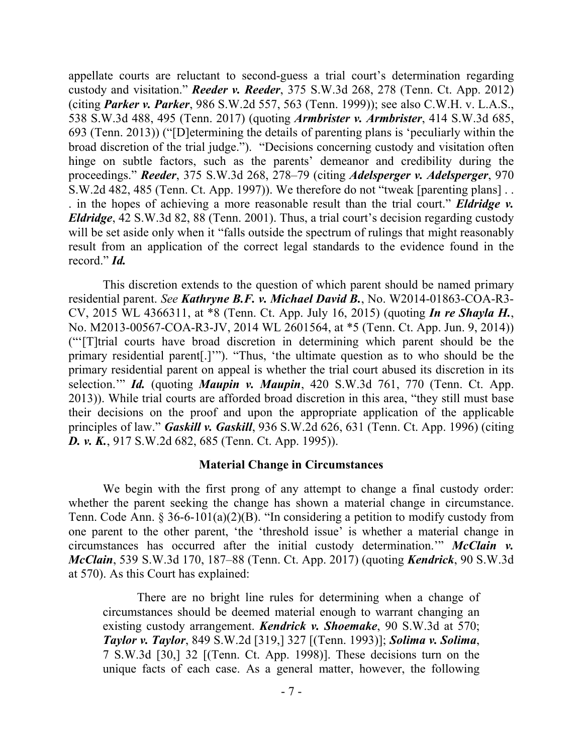appellate courts are reluctant to second-guess a trial court's determination regarding custody and visitation." *Reeder v. Reeder*, 375 S.W.3d 268, 278 (Tenn. Ct. App. 2012) (citing *Parker v. Parker*, 986 S.W.2d 557, 563 (Tenn. 1999)); see also C.W.H. v. L.A.S., 538 S.W.3d 488, 495 (Tenn. 2017) (quoting *Armbrister v. Armbrister*, 414 S.W.3d 685, 693 (Tenn. 2013)) ("[D]etermining the details of parenting plans is 'peculiarly within the broad discretion of the trial judge."). "Decisions concerning custody and visitation often hinge on subtle factors, such as the parents' demeanor and credibility during the proceedings." *Reeder*, 375 S.W.3d 268, 278–79 (citing *Adelsperger v. Adelsperger*, 970 S.W.2d 482, 485 (Tenn. Ct. App. 1997)). We therefore do not "tweak [parenting plans] . . . in the hopes of achieving a more reasonable result than the trial court." *Eldridge v. Eldridge*, 42 S.W.3d 82, 88 (Tenn. 2001). Thus, a trial court's decision regarding custody will be set aside only when it "falls outside the spectrum of rulings that might reasonably result from an application of the correct legal standards to the evidence found in the record." *Id.*

This discretion extends to the question of which parent should be named primary residential parent. *See Kathryne B.F. v. Michael David B.*, No. W2014-01863-COA-R3- CV, 2015 WL 4366311, at \*8 (Tenn. Ct. App. July 16, 2015) (quoting *In re Shayla H.*, No. M2013-00567-COA-R3-JV, 2014 WL 2601564, at \*5 (Tenn. Ct. App. Jun. 9, 2014)) ("'[T]trial courts have broad discretion in determining which parent should be the primary residential parent[.]'"). "Thus, 'the ultimate question as to who should be the primary residential parent on appeal is whether the trial court abused its discretion in its selection.'" *Id.* (quoting *Maupin v. Maupin*, 420 S.W.3d 761, 770 (Tenn. Ct. App. 2013)). While trial courts are afforded broad discretion in this area, "they still must base their decisions on the proof and upon the appropriate application of the applicable principles of law." *Gaskill v. Gaskill*, 936 S.W.2d 626, 631 (Tenn. Ct. App. 1996) (citing *D. v. K.*, 917 S.W.2d 682, 685 (Tenn. Ct. App. 1995)).

#### **Material Change in Circumstances**

We begin with the first prong of any attempt to change a final custody order: whether the parent seeking the change has shown a material change in circumstance. Tenn. Code Ann. § 36-6-101(a)(2)(B). "In considering a petition to modify custody from one parent to the other parent, 'the 'threshold issue' is whether a material change in circumstances has occurred after the initial custody determination.'" *McClain v. McClain*, 539 S.W.3d 170, 187–88 (Tenn. Ct. App. 2017) (quoting *Kendrick*, 90 S.W.3d at 570). As this Court has explained:

There are no bright line rules for determining when a change of circumstances should be deemed material enough to warrant changing an existing custody arrangement. *Kendrick v. Shoemake*, 90 S.W.3d at 570; *Taylor v. Taylor*, 849 S.W.2d [319,] 327 [(Tenn. 1993)]; *Solima v. Solima*, 7 S.W.3d [30,] 32 [(Tenn. Ct. App. 1998)]. These decisions turn on the unique facts of each case. As a general matter, however, the following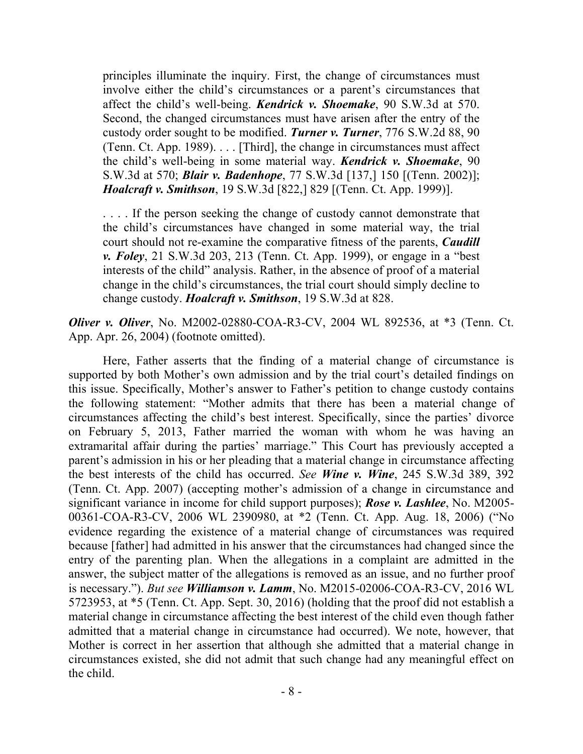principles illuminate the inquiry. First, the change of circumstances must involve either the child's circumstances or a parent's circumstances that affect the child's well-being. *Kendrick v. Shoemake*, 90 S.W.3d at 570. Second, the changed circumstances must have arisen after the entry of the custody order sought to be modified. *Turner v. Turner*, 776 S.W.2d 88, 90 (Tenn. Ct. App. 1989). . . . [Third], the change in circumstances must affect the child's well-being in some material way. *Kendrick v. Shoemake*, 90 S.W.3d at 570; *Blair v. Badenhope*, 77 S.W.3d [137,] 150 [(Tenn. 2002)]; *Hoalcraft v. Smithson*, 19 S.W.3d [822,] 829 [(Tenn. Ct. App. 1999)].

... If the person seeking the change of custody cannot demonstrate that the child's circumstances have changed in some material way, the trial court should not re-examine the comparative fitness of the parents, *Caudill v. Foley*, 21 S.W.3d 203, 213 (Tenn. Ct. App. 1999), or engage in a "best interests of the child" analysis. Rather, in the absence of proof of a material change in the child's circumstances, the trial court should simply decline to change custody. *Hoalcraft v. Smithson*, 19 S.W.3d at 828.

*Oliver v. Oliver*, No. M2002-02880-COA-R3-CV, 2004 WL 892536, at \*3 (Tenn. Ct. App. Apr. 26, 2004) (footnote omitted).

Here, Father asserts that the finding of a material change of circumstance is supported by both Mother's own admission and by the trial court's detailed findings on this issue. Specifically, Mother's answer to Father's petition to change custody contains the following statement: "Mother admits that there has been a material change of circumstances affecting the child's best interest. Specifically, since the parties' divorce on February 5, 2013, Father married the woman with whom he was having an extramarital affair during the parties' marriage." This Court has previously accepted a parent's admission in his or her pleading that a material change in circumstance affecting the best interests of the child has occurred. *See Wine v. Wine*, 245 S.W.3d 389, 392 (Tenn. Ct. App. 2007) (accepting mother's admission of a change in circumstance and significant variance in income for child support purposes); *Rose v. Lashlee*, No. M2005- 00361-COA-R3-CV, 2006 WL 2390980, at \*2 (Tenn. Ct. App. Aug. 18, 2006) ("No evidence regarding the existence of a material change of circumstances was required because [father] had admitted in his answer that the circumstances had changed since the entry of the parenting plan. When the allegations in a complaint are admitted in the answer, the subject matter of the allegations is removed as an issue, and no further proof is necessary."). *But see Williamson v. Lamm*, No. M2015-02006-COA-R3-CV, 2016 WL 5723953, at \*5 (Tenn. Ct. App. Sept. 30, 2016) (holding that the proof did not establish a material change in circumstance affecting the best interest of the child even though father admitted that a material change in circumstance had occurred). We note, however, that Mother is correct in her assertion that although she admitted that a material change in circumstances existed, she did not admit that such change had any meaningful effect on the child.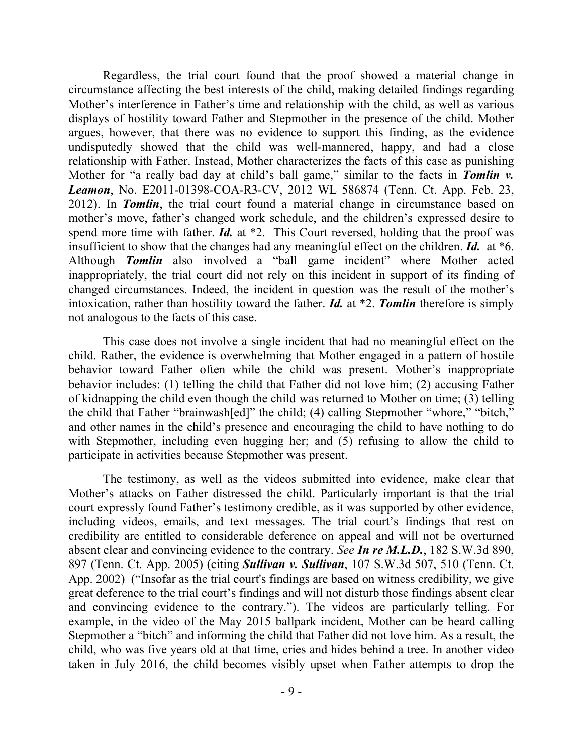Regardless, the trial court found that the proof showed a material change in circumstance affecting the best interests of the child, making detailed findings regarding Mother's interference in Father's time and relationship with the child, as well as various displays of hostility toward Father and Stepmother in the presence of the child. Mother argues, however, that there was no evidence to support this finding, as the evidence undisputedly showed that the child was well-mannered, happy, and had a close relationship with Father. Instead, Mother characterizes the facts of this case as punishing Mother for "a really bad day at child's ball game," similar to the facts in **Tomlin v.** *Leamon*, No. E2011-01398-COA-R3-CV, 2012 WL 586874 (Tenn. Ct. App. Feb. 23, 2012). In *Tomlin*, the trial court found a material change in circumstance based on mother's move, father's changed work schedule, and the children's expressed desire to spend more time with father. *Id.* at \*2. This Court reversed, holding that the proof was insufficient to show that the changes had any meaningful effect on the children. *Id.* at \*6. Although *Tomlin* also involved a "ball game incident" where Mother acted inappropriately, the trial court did not rely on this incident in support of its finding of changed circumstances. Indeed, the incident in question was the result of the mother's intoxication, rather than hostility toward the father. *Id.* at \*2. *Tomlin* therefore is simply not analogous to the facts of this case.

This case does not involve a single incident that had no meaningful effect on the child. Rather, the evidence is overwhelming that Mother engaged in a pattern of hostile behavior toward Father often while the child was present. Mother's inappropriate behavior includes: (1) telling the child that Father did not love him; (2) accusing Father of kidnapping the child even though the child was returned to Mother on time; (3) telling the child that Father "brainwash[ed]" the child; (4) calling Stepmother "whore," "bitch," and other names in the child's presence and encouraging the child to have nothing to do with Stepmother, including even hugging her; and (5) refusing to allow the child to participate in activities because Stepmother was present.

The testimony, as well as the videos submitted into evidence, make clear that Mother's attacks on Father distressed the child. Particularly important is that the trial court expressly found Father's testimony credible, as it was supported by other evidence, including videos, emails, and text messages. The trial court's findings that rest on credibility are entitled to considerable deference on appeal and will not be overturned absent clear and convincing evidence to the contrary. *See In re M.L.D.*, 182 S.W.3d 890, 897 (Tenn. Ct. App. 2005) (citing *Sullivan v. Sullivan*, 107 S.W.3d 507, 510 (Tenn. Ct. App. 2002) ("Insofar as the trial court's findings are based on witness credibility, we give great deference to the trial court's findings and will not disturb those findings absent clear and convincing evidence to the contrary."). The videos are particularly telling. For example, in the video of the May 2015 ballpark incident, Mother can be heard calling Stepmother a "bitch" and informing the child that Father did not love him. As a result, the child, who was five years old at that time, cries and hides behind a tree. In another video taken in July 2016, the child becomes visibly upset when Father attempts to drop the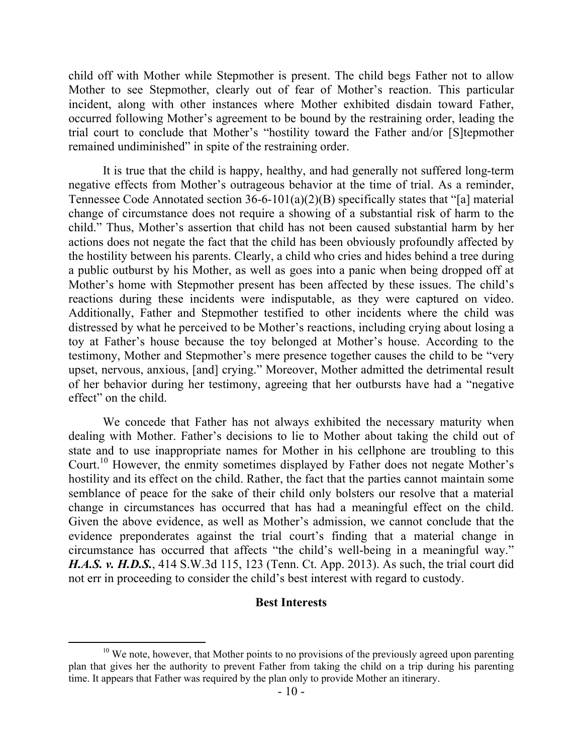child off with Mother while Stepmother is present. The child begs Father not to allow Mother to see Stepmother, clearly out of fear of Mother's reaction. This particular incident, along with other instances where Mother exhibited disdain toward Father, occurred following Mother's agreement to be bound by the restraining order, leading the trial court to conclude that Mother's "hostility toward the Father and/or [S]tepmother remained undiminished" in spite of the restraining order.

It is true that the child is happy, healthy, and had generally not suffered long-term negative effects from Mother's outrageous behavior at the time of trial. As a reminder, Tennessee Code Annotated section 36-6-101(a)(2)(B) specifically states that "[a] material change of circumstance does not require a showing of a substantial risk of harm to the child." Thus, Mother's assertion that child has not been caused substantial harm by her actions does not negate the fact that the child has been obviously profoundly affected by the hostility between his parents. Clearly, a child who cries and hides behind a tree during a public outburst by his Mother, as well as goes into a panic when being dropped off at Mother's home with Stepmother present has been affected by these issues. The child's reactions during these incidents were indisputable, as they were captured on video. Additionally, Father and Stepmother testified to other incidents where the child was distressed by what he perceived to be Mother's reactions, including crying about losing a toy at Father's house because the toy belonged at Mother's house. According to the testimony, Mother and Stepmother's mere presence together causes the child to be "very upset, nervous, anxious, [and] crying." Moreover, Mother admitted the detrimental result of her behavior during her testimony, agreeing that her outbursts have had a "negative effect" on the child.

We concede that Father has not always exhibited the necessary maturity when dealing with Mother. Father's decisions to lie to Mother about taking the child out of state and to use inappropriate names for Mother in his cellphone are troubling to this Court.<sup>10</sup> However, the enmity sometimes displayed by Father does not negate Mother's hostility and its effect on the child. Rather, the fact that the parties cannot maintain some semblance of peace for the sake of their child only bolsters our resolve that a material change in circumstances has occurred that has had a meaningful effect on the child. Given the above evidence, as well as Mother's admission, we cannot conclude that the evidence preponderates against the trial court's finding that a material change in circumstance has occurred that affects "the child's well-being in a meaningful way." *H.A.S. v. H.D.S.*, 414 S.W.3d 115, 123 (Tenn. Ct. App. 2013). As such, the trial court did not err in proceeding to consider the child's best interest with regard to custody.

#### **Best Interests**

 $10$  We note, however, that Mother points to no provisions of the previously agreed upon parenting plan that gives her the authority to prevent Father from taking the child on a trip during his parenting time. It appears that Father was required by the plan only to provide Mother an itinerary.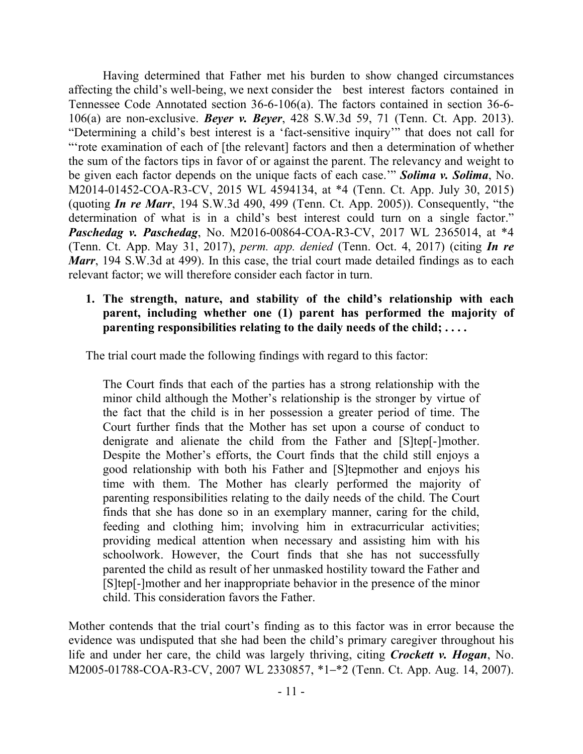Having determined that Father met his burden to show changed circumstances affecting the child's well-being, we next consider the best interest factors contained in Tennessee Code Annotated section 36-6-106(a). The factors contained in section 36-6- 106(a) are non-exclusive. *Beyer v. Beyer*, 428 S.W.3d 59, 71 (Tenn. Ct. App. 2013). "Determining a child's best interest is a 'fact-sensitive inquiry'" that does not call for "rote examination of each of [the relevant] factors and then a determination of whether the sum of the factors tips in favor of or against the parent. The relevancy and weight to be given each factor depends on the unique facts of each case.'" *Solima v. Solima*, No. M2014-01452-COA-R3-CV, 2015 WL 4594134, at \*4 (Tenn. Ct. App. July 30, 2015) (quoting *In re Marr*, 194 S.W.3d 490, 499 (Tenn. Ct. App. 2005)). Consequently, "the determination of what is in a child's best interest could turn on a single factor." *Paschedag v. Paschedag*, No. M2016-00864-COA-R3-CV, 2017 WL 2365014, at \*4 (Tenn. Ct. App. May 31, 2017), *perm. app. denied* (Tenn. Oct. 4, 2017) (citing *In re Marr*, 194 S.W.3d at 499). In this case, the trial court made detailed findings as to each relevant factor; we will therefore consider each factor in turn.

### **1. The strength, nature, and stability of the child's relationship with each parent, including whether one (1) parent has performed the majority of parenting responsibilities relating to the daily needs of the child; . . . .**

The trial court made the following findings with regard to this factor:

The Court finds that each of the parties has a strong relationship with the minor child although the Mother's relationship is the stronger by virtue of the fact that the child is in her possession a greater period of time. The Court further finds that the Mother has set upon a course of conduct to denigrate and alienate the child from the Father and [S]tep[-]mother. Despite the Mother's efforts, the Court finds that the child still enjoys a good relationship with both his Father and [S]tepmother and enjoys his time with them. The Mother has clearly performed the majority of parenting responsibilities relating to the daily needs of the child. The Court finds that she has done so in an exemplary manner, caring for the child, feeding and clothing him; involving him in extracurricular activities; providing medical attention when necessary and assisting him with his schoolwork. However, the Court finds that she has not successfully parented the child as result of her unmasked hostility toward the Father and [S]tep[-]mother and her inappropriate behavior in the presence of the minor child. This consideration favors the Father.

Mother contends that the trial court's finding as to this factor was in error because the evidence was undisputed that she had been the child's primary caregiver throughout his life and under her care, the child was largely thriving, citing *Crockett v. Hogan*, No. M2005-01788-COA-R3-CV, 2007 WL 2330857, \*1–\*2 (Tenn. Ct. App. Aug. 14, 2007).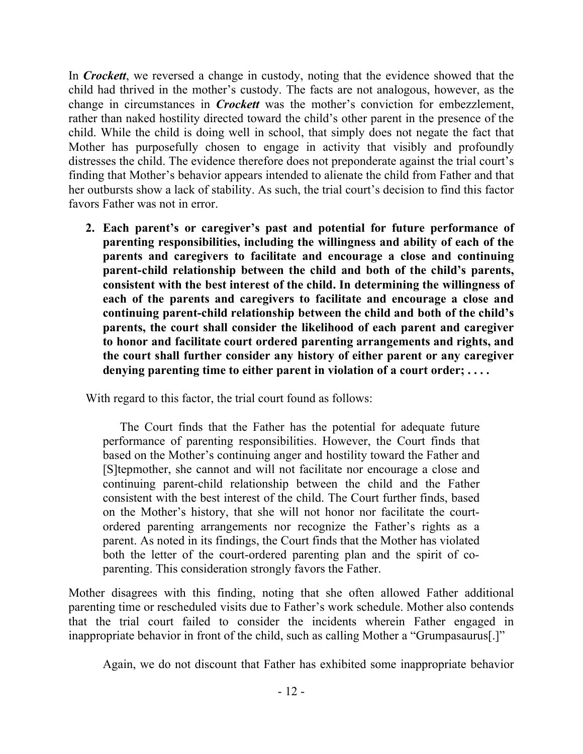In *Crockett*, we reversed a change in custody, noting that the evidence showed that the child had thrived in the mother's custody. The facts are not analogous, however, as the change in circumstances in *Crockett* was the mother's conviction for embezzlement, rather than naked hostility directed toward the child's other parent in the presence of the child. While the child is doing well in school, that simply does not negate the fact that Mother has purposefully chosen to engage in activity that visibly and profoundly distresses the child. The evidence therefore does not preponderate against the trial court's finding that Mother's behavior appears intended to alienate the child from Father and that her outbursts show a lack of stability. As such, the trial court's decision to find this factor favors Father was not in error.

**2. Each parent's or caregiver's past and potential for future performance of parenting responsibilities, including the willingness and ability of each of the parents and caregivers to facilitate and encourage a close and continuing parent-child relationship between the child and both of the child's parents, consistent with the best interest of the child. In determining the willingness of each of the parents and caregivers to facilitate and encourage a close and continuing parent-child relationship between the child and both of the child's parents, the court shall consider the likelihood of each parent and caregiver to honor and facilitate court ordered parenting arrangements and rights, and the court shall further consider any history of either parent or any caregiver denying parenting time to either parent in violation of a court order; . . . .**

With regard to this factor, the trial court found as follows:

The Court finds that the Father has the potential for adequate future performance of parenting responsibilities. However, the Court finds that based on the Mother's continuing anger and hostility toward the Father and [S]tepmother, she cannot and will not facilitate nor encourage a close and continuing parent-child relationship between the child and the Father consistent with the best interest of the child. The Court further finds, based on the Mother's history, that she will not honor nor facilitate the courtordered parenting arrangements nor recognize the Father's rights as a parent. As noted in its findings, the Court finds that the Mother has violated both the letter of the court-ordered parenting plan and the spirit of coparenting. This consideration strongly favors the Father.

Mother disagrees with this finding, noting that she often allowed Father additional parenting time or rescheduled visits due to Father's work schedule. Mother also contends that the trial court failed to consider the incidents wherein Father engaged in inappropriate behavior in front of the child, such as calling Mother a "Grumpasaurus[.]"

Again, we do not discount that Father has exhibited some inappropriate behavior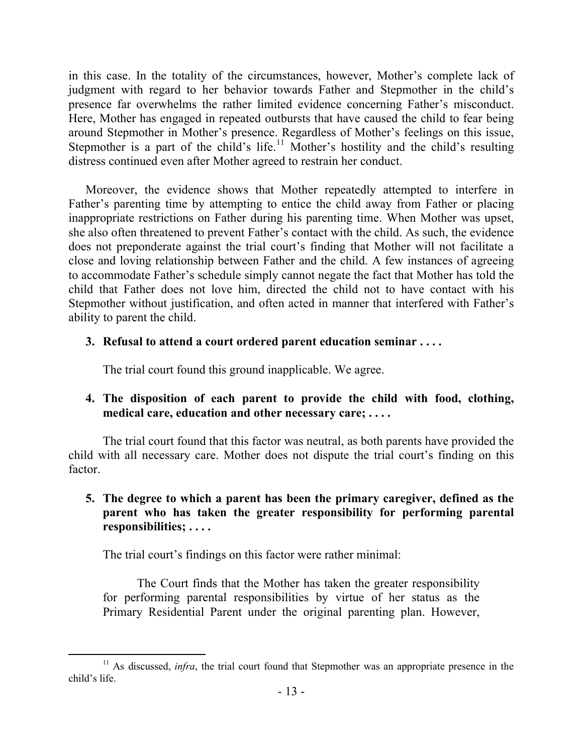in this case. In the totality of the circumstances, however, Mother's complete lack of judgment with regard to her behavior towards Father and Stepmother in the child's presence far overwhelms the rather limited evidence concerning Father's misconduct. Here, Mother has engaged in repeated outbursts that have caused the child to fear being around Stepmother in Mother's presence. Regardless of Mother's feelings on this issue, Stepmother is a part of the child's life.<sup>11</sup> Mother's hostility and the child's resulting distress continued even after Mother agreed to restrain her conduct.

Moreover, the evidence shows that Mother repeatedly attempted to interfere in Father's parenting time by attempting to entice the child away from Father or placing inappropriate restrictions on Father during his parenting time. When Mother was upset, she also often threatened to prevent Father's contact with the child. As such, the evidence does not preponderate against the trial court's finding that Mother will not facilitate a close and loving relationship between Father and the child. A few instances of agreeing to accommodate Father's schedule simply cannot negate the fact that Mother has told the child that Father does not love him, directed the child not to have contact with his Stepmother without justification, and often acted in manner that interfered with Father's ability to parent the child.

### **3. Refusal to attend a court ordered parent education seminar . . . .**

The trial court found this ground inapplicable. We agree.

## **4. The disposition of each parent to provide the child with food, clothing, medical care, education and other necessary care; . . . .**

The trial court found that this factor was neutral, as both parents have provided the child with all necessary care. Mother does not dispute the trial court's finding on this factor.

## **5. The degree to which a parent has been the primary caregiver, defined as the parent who has taken the greater responsibility for performing parental responsibilities; . . . .**

The trial court's findings on this factor were rather minimal:

The Court finds that the Mother has taken the greater responsibility for performing parental responsibilities by virtue of her status as the Primary Residential Parent under the original parenting plan. However,

 <sup>11</sup> As discussed, *infra*, the trial court found that Stepmother was an appropriate presence in the child's life.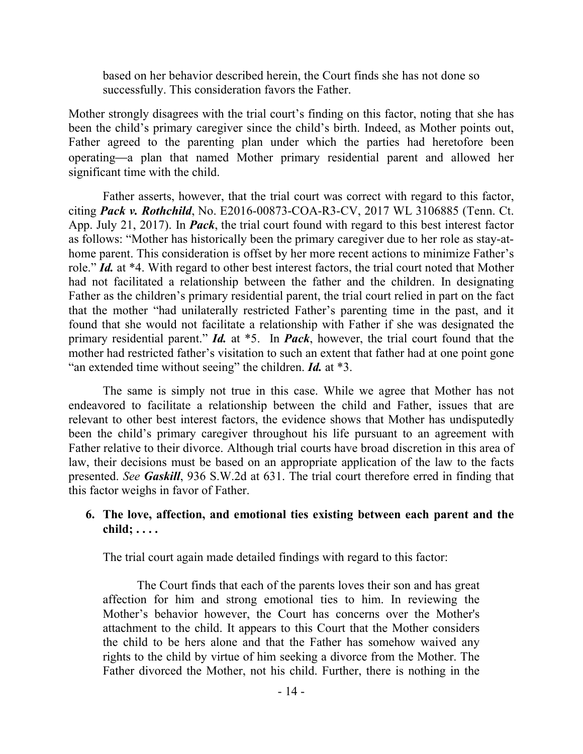based on her behavior described herein, the Court finds she has not done so successfully. This consideration favors the Father.

Mother strongly disagrees with the trial court's finding on this factor, noting that she has been the child's primary caregiver since the child's birth. Indeed, as Mother points out, Father agreed to the parenting plan under which the parties had heretofore been operating—a plan that named Mother primary residential parent and allowed her significant time with the child.

Father asserts, however, that the trial court was correct with regard to this factor, citing *Pack v. Rothchild*, No. E2016-00873-COA-R3-CV, 2017 WL 3106885 (Tenn. Ct. App. July 21, 2017). In *Pack*, the trial court found with regard to this best interest factor as follows: "Mother has historically been the primary caregiver due to her role as stay-athome parent. This consideration is offset by her more recent actions to minimize Father's role." *Id.* at \*4. With regard to other best interest factors, the trial court noted that Mother had not facilitated a relationship between the father and the children. In designating Father as the children's primary residential parent, the trial court relied in part on the fact that the mother "had unilaterally restricted Father's parenting time in the past, and it found that she would not facilitate a relationship with Father if she was designated the primary residential parent." *Id.* at \*5. In *Pack*, however, the trial court found that the mother had restricted father's visitation to such an extent that father had at one point gone "an extended time without seeing" the children. *Id.* at \*3.

The same is simply not true in this case. While we agree that Mother has not endeavored to facilitate a relationship between the child and Father, issues that are relevant to other best interest factors, the evidence shows that Mother has undisputedly been the child's primary caregiver throughout his life pursuant to an agreement with Father relative to their divorce. Although trial courts have broad discretion in this area of law, their decisions must be based on an appropriate application of the law to the facts presented. *See Gaskill*, 936 S.W.2d at 631. The trial court therefore erred in finding that this factor weighs in favor of Father.

## **6. The love, affection, and emotional ties existing between each parent and the child; . . . .**

The trial court again made detailed findings with regard to this factor:

The Court finds that each of the parents loves their son and has great affection for him and strong emotional ties to him. In reviewing the Mother's behavior however, the Court has concerns over the Mother's attachment to the child. It appears to this Court that the Mother considers the child to be hers alone and that the Father has somehow waived any rights to the child by virtue of him seeking a divorce from the Mother. The Father divorced the Mother, not his child. Further, there is nothing in the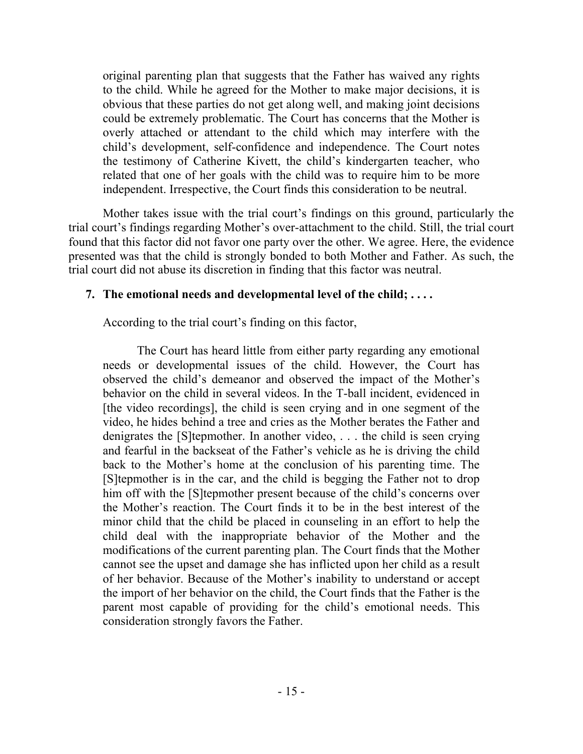original parenting plan that suggests that the Father has waived any rights to the child. While he agreed for the Mother to make major decisions, it is obvious that these parties do not get along well, and making joint decisions could be extremely problematic. The Court has concerns that the Mother is overly attached or attendant to the child which may interfere with the child's development, self-confidence and independence. The Court notes the testimony of Catherine Kivett, the child's kindergarten teacher, who related that one of her goals with the child was to require him to be more independent. Irrespective, the Court finds this consideration to be neutral.

Mother takes issue with the trial court's findings on this ground, particularly the trial court's findings regarding Mother's over-attachment to the child. Still, the trial court found that this factor did not favor one party over the other. We agree. Here, the evidence presented was that the child is strongly bonded to both Mother and Father. As such, the trial court did not abuse its discretion in finding that this factor was neutral.

### **7. The emotional needs and developmental level of the child; . . . .**

According to the trial court's finding on this factor,

The Court has heard little from either party regarding any emotional needs or developmental issues of the child. However, the Court has observed the child's demeanor and observed the impact of the Mother's behavior on the child in several videos. In the T-ball incident, evidenced in [the video recordings], the child is seen crying and in one segment of the video, he hides behind a tree and cries as the Mother berates the Father and denigrates the [S]tepmother. In another video, . . . the child is seen crying and fearful in the backseat of the Father's vehicle as he is driving the child back to the Mother's home at the conclusion of his parenting time. The [S]tepmother is in the car, and the child is begging the Father not to drop him off with the [S]tepmother present because of the child's concerns over the Mother's reaction. The Court finds it to be in the best interest of the minor child that the child be placed in counseling in an effort to help the child deal with the inappropriate behavior of the Mother and the modifications of the current parenting plan. The Court finds that the Mother cannot see the upset and damage she has inflicted upon her child as a result of her behavior. Because of the Mother's inability to understand or accept the import of her behavior on the child, the Court finds that the Father is the parent most capable of providing for the child's emotional needs. This consideration strongly favors the Father.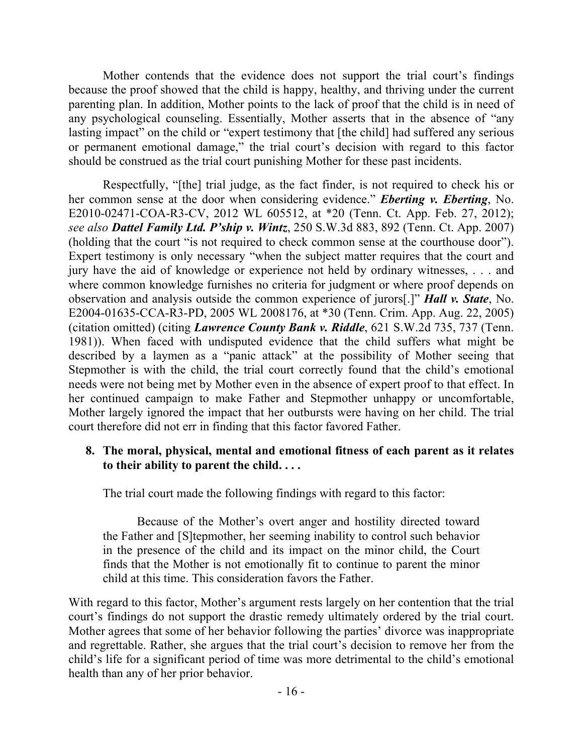Mother contends that the evidence does not support the trial court's findings because the proof showed that the child is happy, healthy, and thriving under the current parenting plan. In addition, Mother points to the lack of proof that the child is in need of any psychological counseling. Essentially, Mother asserts that in the absence of "any lasting impact" on the child or "expert testimony that [the child] had suffered any serious or permanent emotional damage," the trial court's decision with regard to this factor should be construed as the trial court punishing Mother for these past incidents.

Respectfully, "[the] trial judge, as the fact finder, is not required to check his or her common sense at the door when considering evidence." *Eberting v. Eberting*, No. E2010-02471-COA-R3-CV, 2012 WL 605512, at \*20 (Tenn. Ct. App. Feb. 27, 2012); *see also Dattel Family Ltd. P'ship v. Wintz*, 250 S.W.3d 883, 892 (Tenn. Ct. App. 2007) (holding that the court "is not required to check common sense at the courthouse door"). Expert testimony is only necessary "when the subject matter requires that the court and jury have the aid of knowledge or experience not held by ordinary witnesses, . . . and where common knowledge furnishes no criteria for judgment or where proof depends on observation and analysis outside the common experience of jurors[.]" *Hall v. State*, No. E2004-01635-CCA-R3-PD, 2005 WL 2008176, at \*30 (Tenn. Crim. App. Aug. 22, 2005) (citation omitted) (citing *Lawrence County Bank v. Riddle*, 621 S.W.2d 735, 737 (Tenn. 1981)). When faced with undisputed evidence that the child suffers what might be described by a laymen as a "panic attack" at the possibility of Mother seeing that Stepmother is with the child, the trial court correctly found that the child's emotional needs were not being met by Mother even in the absence of expert proof to that effect. In her continued campaign to make Father and Stepmother unhappy or uncomfortable, Mother largely ignored the impact that her outbursts were having on her child. The trial court therefore did not err in finding that this factor favored Father.

### **8. The moral, physical, mental and emotional fitness of each parent as it relates to their ability to parent the child. . . .**

The trial court made the following findings with regard to this factor:

Because of the Mother's overt anger and hostility directed toward the Father and [S]tepmother, her seeming inability to control such behavior in the presence of the child and its impact on the minor child, the Court finds that the Mother is not emotionally fit to continue to parent the minor child at this time. This consideration favors the Father.

With regard to this factor, Mother's argument rests largely on her contention that the trial court's findings do not support the drastic remedy ultimately ordered by the trial court. Mother agrees that some of her behavior following the parties' divorce was inappropriate and regrettable. Rather, she argues that the trial court's decision to remove her from the child's life for a significant period of time was more detrimental to the child's emotional health than any of her prior behavior.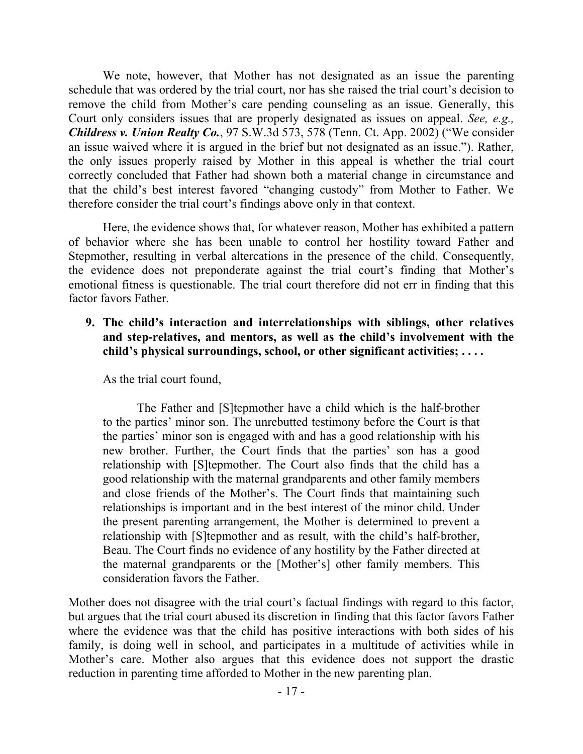We note, however, that Mother has not designated as an issue the parenting schedule that was ordered by the trial court, nor has she raised the trial court's decision to remove the child from Mother's care pending counseling as an issue. Generally, this Court only considers issues that are properly designated as issues on appeal. *See, e.g., Childress v. Union Realty Co.*, 97 S.W.3d 573, 578 (Tenn. Ct. App. 2002) ("We consider an issue waived where it is argued in the brief but not designated as an issue."). Rather, the only issues properly raised by Mother in this appeal is whether the trial court correctly concluded that Father had shown both a material change in circumstance and that the child's best interest favored "changing custody" from Mother to Father. We therefore consider the trial court's findings above only in that context.

Here, the evidence shows that, for whatever reason, Mother has exhibited a pattern of behavior where she has been unable to control her hostility toward Father and Stepmother, resulting in verbal altercations in the presence of the child. Consequently, the evidence does not preponderate against the trial court's finding that Mother's emotional fitness is questionable. The trial court therefore did not err in finding that this factor favors Father.

**9. The child's interaction and interrelationships with siblings, other relatives and step-relatives, and mentors, as well as the child's involvement with the child's physical surroundings, school, or other significant activities; . . . .**

As the trial court found,

The Father and [S]tepmother have a child which is the half-brother to the parties' minor son. The unrebutted testimony before the Court is that the parties' minor son is engaged with and has a good relationship with his new brother. Further, the Court finds that the parties' son has a good relationship with [S]tepmother. The Court also finds that the child has a good relationship with the maternal grandparents and other family members and close friends of the Mother's. The Court finds that maintaining such relationships is important and in the best interest of the minor child. Under the present parenting arrangement, the Mother is determined to prevent a relationship with [S]tepmother and as result, with the child's half-brother, Beau. The Court finds no evidence of any hostility by the Father directed at the maternal grandparents or the [Mother's] other family members. This consideration favors the Father.

Mother does not disagree with the trial court's factual findings with regard to this factor, but argues that the trial court abused its discretion in finding that this factor favors Father where the evidence was that the child has positive interactions with both sides of his family, is doing well in school, and participates in a multitude of activities while in Mother's care. Mother also argues that this evidence does not support the drastic reduction in parenting time afforded to Mother in the new parenting plan.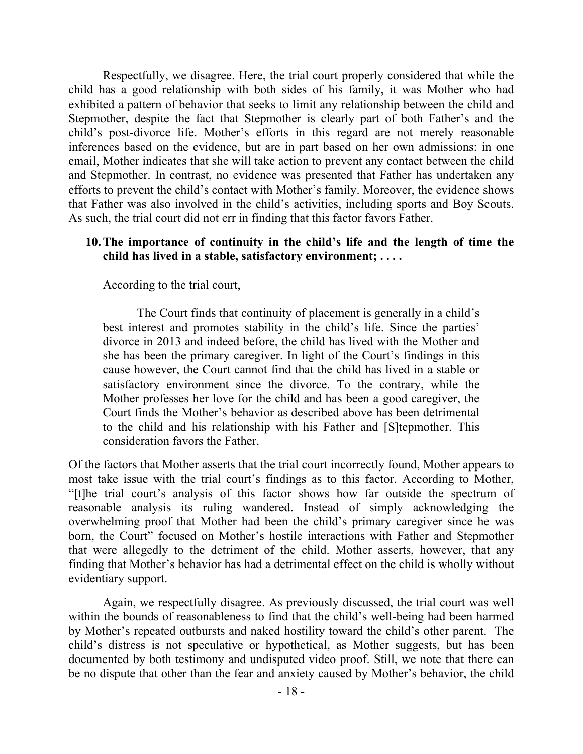Respectfully, we disagree. Here, the trial court properly considered that while the child has a good relationship with both sides of his family, it was Mother who had exhibited a pattern of behavior that seeks to limit any relationship between the child and Stepmother, despite the fact that Stepmother is clearly part of both Father's and the child's post-divorce life. Mother's efforts in this regard are not merely reasonable inferences based on the evidence, but are in part based on her own admissions: in one email, Mother indicates that she will take action to prevent any contact between the child and Stepmother. In contrast, no evidence was presented that Father has undertaken any efforts to prevent the child's contact with Mother's family. Moreover, the evidence shows that Father was also involved in the child's activities, including sports and Boy Scouts. As such, the trial court did not err in finding that this factor favors Father.

#### **10.The importance of continuity in the child's life and the length of time the child has lived in a stable, satisfactory environment; . . . .**

According to the trial court,

The Court finds that continuity of placement is generally in a child's best interest and promotes stability in the child's life. Since the parties' divorce in 2013 and indeed before, the child has lived with the Mother and she has been the primary caregiver. In light of the Court's findings in this cause however, the Court cannot find that the child has lived in a stable or satisfactory environment since the divorce. To the contrary, while the Mother professes her love for the child and has been a good caregiver, the Court finds the Mother's behavior as described above has been detrimental to the child and his relationship with his Father and [S]tepmother. This consideration favors the Father.

Of the factors that Mother asserts that the trial court incorrectly found, Mother appears to most take issue with the trial court's findings as to this factor. According to Mother, "[t]he trial court's analysis of this factor shows how far outside the spectrum of reasonable analysis its ruling wandered. Instead of simply acknowledging the overwhelming proof that Mother had been the child's primary caregiver since he was born, the Court" focused on Mother's hostile interactions with Father and Stepmother that were allegedly to the detriment of the child. Mother asserts, however, that any finding that Mother's behavior has had a detrimental effect on the child is wholly without evidentiary support.

Again, we respectfully disagree. As previously discussed, the trial court was well within the bounds of reasonableness to find that the child's well-being had been harmed by Mother's repeated outbursts and naked hostility toward the child's other parent. The child's distress is not speculative or hypothetical, as Mother suggests, but has been documented by both testimony and undisputed video proof. Still, we note that there can be no dispute that other than the fear and anxiety caused by Mother's behavior, the child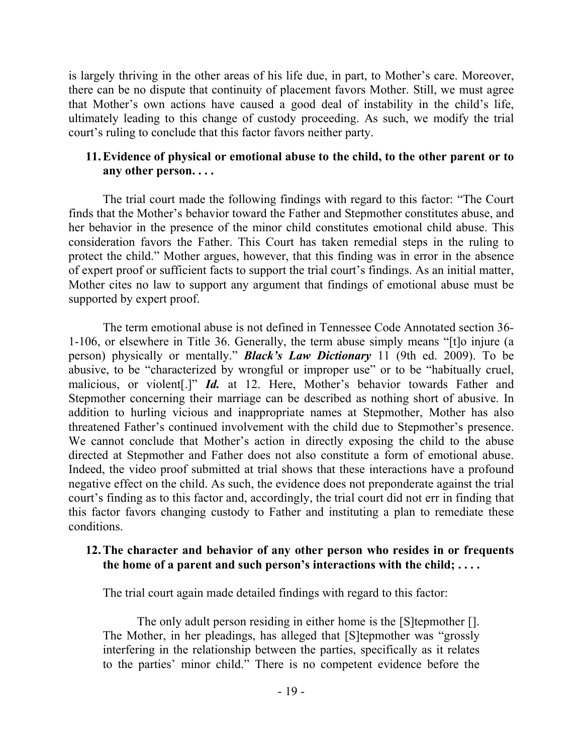is largely thriving in the other areas of his life due, in part, to Mother's care. Moreover, there can be no dispute that continuity of placement favors Mother. Still, we must agree that Mother's own actions have caused a good deal of instability in the child's life, ultimately leading to this change of custody proceeding. As such, we modify the trial court's ruling to conclude that this factor favors neither party.

### **11.Evidence of physical or emotional abuse to the child, to the other parent or to any other person. . . .**

The trial court made the following findings with regard to this factor: "The Court finds that the Mother's behavior toward the Father and Stepmother constitutes abuse, and her behavior in the presence of the minor child constitutes emotional child abuse. This consideration favors the Father. This Court has taken remedial steps in the ruling to protect the child." Mother argues, however, that this finding was in error in the absence of expert proof or sufficient facts to support the trial court's findings. As an initial matter, Mother cites no law to support any argument that findings of emotional abuse must be supported by expert proof.

The term emotional abuse is not defined in Tennessee Code Annotated section 36- 1-106, or elsewhere in Title 36. Generally, the term abuse simply means "[t]o injure (a person) physically or mentally." *Black's Law Dictionary* 11 (9th ed. 2009). To be abusive, to be "characterized by wrongful or improper use" or to be "habitually cruel, malicious, or violent[.]" *Id.* at 12. Here, Mother's behavior towards Father and Stepmother concerning their marriage can be described as nothing short of abusive. In addition to hurling vicious and inappropriate names at Stepmother, Mother has also threatened Father's continued involvement with the child due to Stepmother's presence. We cannot conclude that Mother's action in directly exposing the child to the abuse directed at Stepmother and Father does not also constitute a form of emotional abuse. Indeed, the video proof submitted at trial shows that these interactions have a profound negative effect on the child. As such, the evidence does not preponderate against the trial court's finding as to this factor and, accordingly, the trial court did not err in finding that this factor favors changing custody to Father and instituting a plan to remediate these conditions.

#### **12.The character and behavior of any other person who resides in or frequents the home of a parent and such person's interactions with the child; . . . .**

The trial court again made detailed findings with regard to this factor:

The only adult person residing in either home is the [S]tepmother []. The Mother, in her pleadings, has alleged that [S]tepmother was "grossly interfering in the relationship between the parties, specifically as it relates to the parties' minor child." There is no competent evidence before the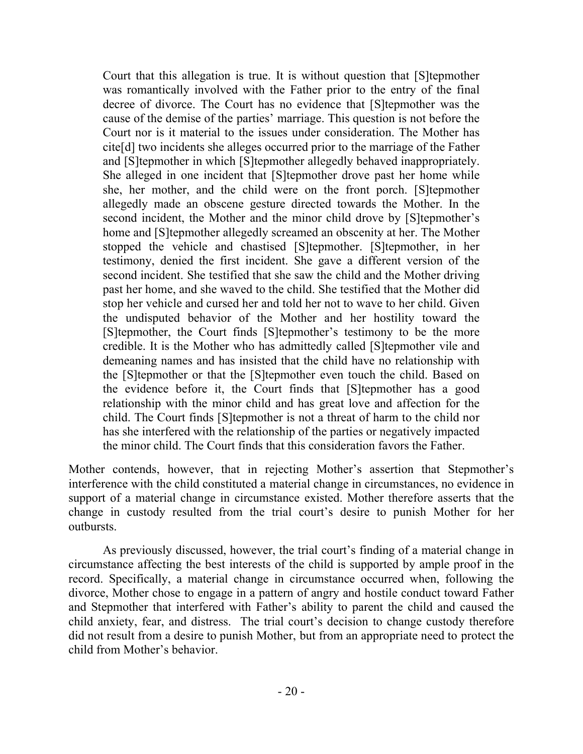Court that this allegation is true. It is without question that [S]tepmother was romantically involved with the Father prior to the entry of the final decree of divorce. The Court has no evidence that [S]tepmother was the cause of the demise of the parties' marriage. This question is not before the Court nor is it material to the issues under consideration. The Mother has cite[d] two incidents she alleges occurred prior to the marriage of the Father and [S]tepmother in which [S]tepmother allegedly behaved inappropriately. She alleged in one incident that [S]tepmother drove past her home while she, her mother, and the child were on the front porch. [S]tepmother allegedly made an obscene gesture directed towards the Mother. In the second incident, the Mother and the minor child drove by [S]tepmother's home and [S]tepmother allegedly screamed an obscenity at her. The Mother stopped the vehicle and chastised [S]tepmother. [S]tepmother, in her testimony, denied the first incident. She gave a different version of the second incident. She testified that she saw the child and the Mother driving past her home, and she waved to the child. She testified that the Mother did stop her vehicle and cursed her and told her not to wave to her child. Given the undisputed behavior of the Mother and her hostility toward the [S]tepmother, the Court finds [S]tepmother's testimony to be the more credible. It is the Mother who has admittedly called [S]tepmother vile and demeaning names and has insisted that the child have no relationship with the [S]tepmother or that the [S]tepmother even touch the child. Based on the evidence before it, the Court finds that [S]tepmother has a good relationship with the minor child and has great love and affection for the child. The Court finds [S]tepmother is not a threat of harm to the child nor has she interfered with the relationship of the parties or negatively impacted the minor child. The Court finds that this consideration favors the Father.

Mother contends, however, that in rejecting Mother's assertion that Stepmother's interference with the child constituted a material change in circumstances, no evidence in support of a material change in circumstance existed. Mother therefore asserts that the change in custody resulted from the trial court's desire to punish Mother for her outbursts.

As previously discussed, however, the trial court's finding of a material change in circumstance affecting the best interests of the child is supported by ample proof in the record. Specifically, a material change in circumstance occurred when, following the divorce, Mother chose to engage in a pattern of angry and hostile conduct toward Father and Stepmother that interfered with Father's ability to parent the child and caused the child anxiety, fear, and distress. The trial court's decision to change custody therefore did not result from a desire to punish Mother, but from an appropriate need to protect the child from Mother's behavior.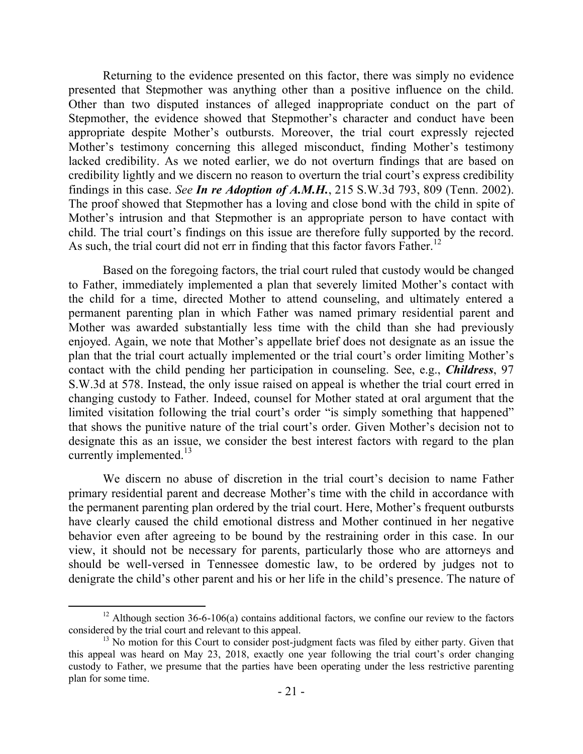Returning to the evidence presented on this factor, there was simply no evidence presented that Stepmother was anything other than a positive influence on the child. Other than two disputed instances of alleged inappropriate conduct on the part of Stepmother, the evidence showed that Stepmother's character and conduct have been appropriate despite Mother's outbursts. Moreover, the trial court expressly rejected Mother's testimony concerning this alleged misconduct, finding Mother's testimony lacked credibility. As we noted earlier, we do not overturn findings that are based on credibility lightly and we discern no reason to overturn the trial court's express credibility findings in this case. *See In re Adoption of A.M.H.*, 215 S.W.3d 793, 809 (Tenn. 2002). The proof showed that Stepmother has a loving and close bond with the child in spite of Mother's intrusion and that Stepmother is an appropriate person to have contact with child. The trial court's findings on this issue are therefore fully supported by the record. As such, the trial court did not err in finding that this factor favors Father.<sup>12</sup>

Based on the foregoing factors, the trial court ruled that custody would be changed to Father, immediately implemented a plan that severely limited Mother's contact with the child for a time, directed Mother to attend counseling, and ultimately entered a permanent parenting plan in which Father was named primary residential parent and Mother was awarded substantially less time with the child than she had previously enjoyed. Again, we note that Mother's appellate brief does not designate as an issue the plan that the trial court actually implemented or the trial court's order limiting Mother's contact with the child pending her participation in counseling. See, e.g., *Childress*, 97 S.W.3d at 578. Instead, the only issue raised on appeal is whether the trial court erred in changing custody to Father. Indeed, counsel for Mother stated at oral argument that the limited visitation following the trial court's order "is simply something that happened" that shows the punitive nature of the trial court's order. Given Mother's decision not to designate this as an issue, we consider the best interest factors with regard to the plan currently implemented.<sup>13</sup>

We discern no abuse of discretion in the trial court's decision to name Father primary residential parent and decrease Mother's time with the child in accordance with the permanent parenting plan ordered by the trial court. Here, Mother's frequent outbursts have clearly caused the child emotional distress and Mother continued in her negative behavior even after agreeing to be bound by the restraining order in this case. In our view, it should not be necessary for parents, particularly those who are attorneys and should be well-versed in Tennessee domestic law, to be ordered by judges not to denigrate the child's other parent and his or her life in the child's presence. The nature of

 $\overline{a}$ 

<sup>&</sup>lt;sup>12</sup> Although section 36-6-106(a) contains additional factors, we confine our review to the factors considered by the trial court and relevant to this appeal.

 $<sup>13</sup>$  No motion for this Court to consider post-judgment facts was filed by either party. Given that</sup> this appeal was heard on May 23, 2018, exactly one year following the trial court's order changing custody to Father, we presume that the parties have been operating under the less restrictive parenting plan for some time.